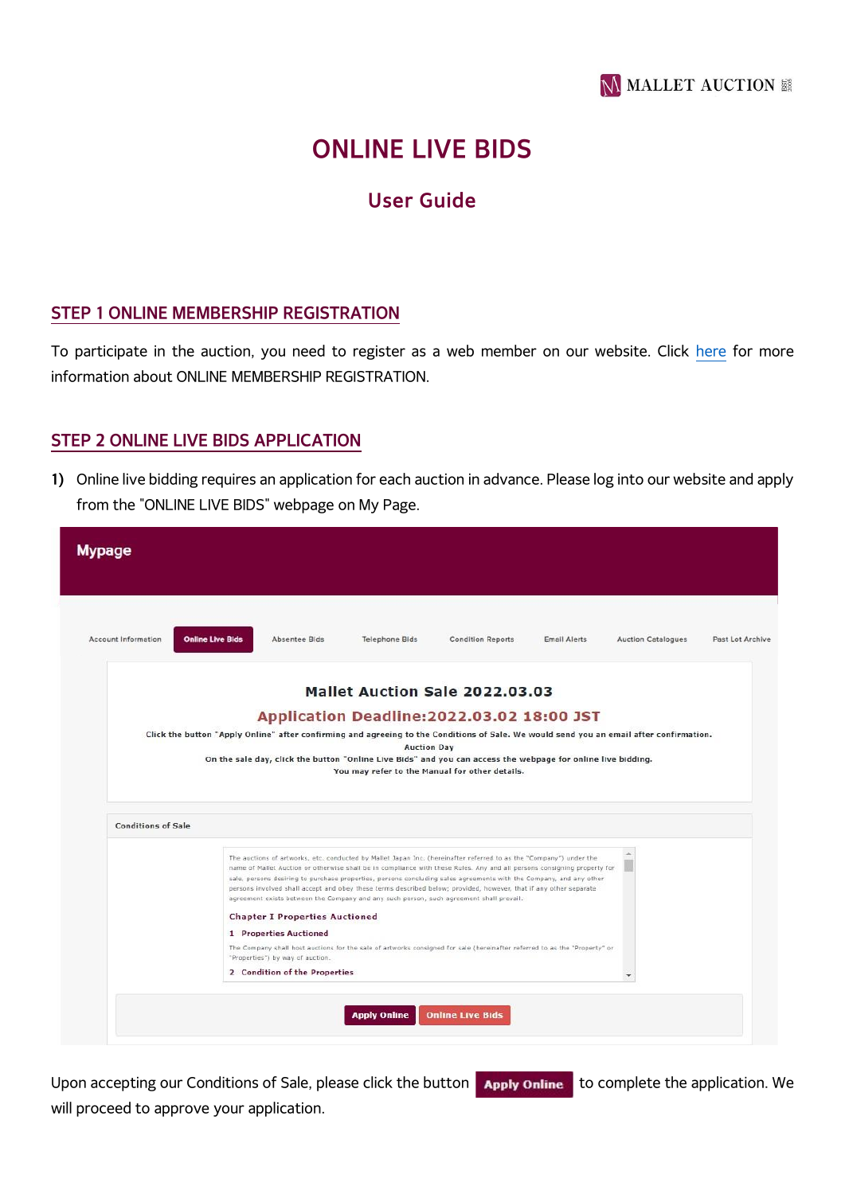

# **ONLINE LIVE BIDS**

## **User Guide**

#### **STEP 1 ONLINE MEMBERSHIP REGISTRATION**

To participate in the auction, you need to register as a web member on our website. Click [here](https://mallet-i.com/auction/bid) for more information about ONLINE MEMBERSHIP REGISTRATION.

#### **STEP 2 ONLINE LIVE BIDS APPLICATION**

**1)** Online live bidding requires an application for each auction in advance. Please log into our website and apply from the "ONLINE LIVE BIDS" webpage on My Page.

| Account Information<br><b>Online Live Bids</b><br>Absentee Bids<br><b>Telephone Bids</b><br><b>Condition Reports</b><br><b>Email Alerts</b><br><b>Auction Catalogues</b><br>Past Lot Archive<br>Mallet Auction Sale 2022.03.03<br>Application Deadline: 2022.03.02 18:00 JST<br>Click the button "Apply Online" after confirming and agreeing to the Conditions of Sale. We would send you an email after confirmation.<br><b>Auction Day</b><br>On the sale day, click the button "Online Live Bids" and you can access the webpage for online live bidding.<br>You may refer to the Manual for other details.<br><b>Conditions of Sale</b><br>The auctions of artworks, etc. conducted by Mallet Japan Inc. (hereinafter referred to as the "Company") under the<br>name of Mallet Auction or otherwise shall be in compliance with these Rules. Any and all persons consigning property for<br>sale, persons desiring to purchase properties, persons concluding sales agreements with the Company, and any other<br>persons involved shall accept and obey these terms described below; provided, however, that if any other separate<br>agreement exists between the Company and any such person, such agreement shall prevail.<br><b>Chapter I Properties Auctioned</b><br>1 Properties Auctioned<br>The Company shall host auctions for the sale of artworks consigned for sale (hereinafter referred to as the "Property" or<br>"Properties") by way of auction.<br>2 Condition of the Properties<br><b>Online Live Bids</b><br><b>Apply Online</b> | <b>Mypage</b> |  |
|-------------------------------------------------------------------------------------------------------------------------------------------------------------------------------------------------------------------------------------------------------------------------------------------------------------------------------------------------------------------------------------------------------------------------------------------------------------------------------------------------------------------------------------------------------------------------------------------------------------------------------------------------------------------------------------------------------------------------------------------------------------------------------------------------------------------------------------------------------------------------------------------------------------------------------------------------------------------------------------------------------------------------------------------------------------------------------------------------------------------------------------------------------------------------------------------------------------------------------------------------------------------------------------------------------------------------------------------------------------------------------------------------------------------------------------------------------------------------------------------------------------------------------------------------------------|---------------|--|
|                                                                                                                                                                                                                                                                                                                                                                                                                                                                                                                                                                                                                                                                                                                                                                                                                                                                                                                                                                                                                                                                                                                                                                                                                                                                                                                                                                                                                                                                                                                                                             |               |  |
|                                                                                                                                                                                                                                                                                                                                                                                                                                                                                                                                                                                                                                                                                                                                                                                                                                                                                                                                                                                                                                                                                                                                                                                                                                                                                                                                                                                                                                                                                                                                                             |               |  |
|                                                                                                                                                                                                                                                                                                                                                                                                                                                                                                                                                                                                                                                                                                                                                                                                                                                                                                                                                                                                                                                                                                                                                                                                                                                                                                                                                                                                                                                                                                                                                             |               |  |
|                                                                                                                                                                                                                                                                                                                                                                                                                                                                                                                                                                                                                                                                                                                                                                                                                                                                                                                                                                                                                                                                                                                                                                                                                                                                                                                                                                                                                                                                                                                                                             |               |  |
|                                                                                                                                                                                                                                                                                                                                                                                                                                                                                                                                                                                                                                                                                                                                                                                                                                                                                                                                                                                                                                                                                                                                                                                                                                                                                                                                                                                                                                                                                                                                                             |               |  |
|                                                                                                                                                                                                                                                                                                                                                                                                                                                                                                                                                                                                                                                                                                                                                                                                                                                                                                                                                                                                                                                                                                                                                                                                                                                                                                                                                                                                                                                                                                                                                             |               |  |
|                                                                                                                                                                                                                                                                                                                                                                                                                                                                                                                                                                                                                                                                                                                                                                                                                                                                                                                                                                                                                                                                                                                                                                                                                                                                                                                                                                                                                                                                                                                                                             |               |  |
|                                                                                                                                                                                                                                                                                                                                                                                                                                                                                                                                                                                                                                                                                                                                                                                                                                                                                                                                                                                                                                                                                                                                                                                                                                                                                                                                                                                                                                                                                                                                                             |               |  |
|                                                                                                                                                                                                                                                                                                                                                                                                                                                                                                                                                                                                                                                                                                                                                                                                                                                                                                                                                                                                                                                                                                                                                                                                                                                                                                                                                                                                                                                                                                                                                             |               |  |
|                                                                                                                                                                                                                                                                                                                                                                                                                                                                                                                                                                                                                                                                                                                                                                                                                                                                                                                                                                                                                                                                                                                                                                                                                                                                                                                                                                                                                                                                                                                                                             |               |  |
|                                                                                                                                                                                                                                                                                                                                                                                                                                                                                                                                                                                                                                                                                                                                                                                                                                                                                                                                                                                                                                                                                                                                                                                                                                                                                                                                                                                                                                                                                                                                                             |               |  |
|                                                                                                                                                                                                                                                                                                                                                                                                                                                                                                                                                                                                                                                                                                                                                                                                                                                                                                                                                                                                                                                                                                                                                                                                                                                                                                                                                                                                                                                                                                                                                             |               |  |
|                                                                                                                                                                                                                                                                                                                                                                                                                                                                                                                                                                                                                                                                                                                                                                                                                                                                                                                                                                                                                                                                                                                                                                                                                                                                                                                                                                                                                                                                                                                                                             |               |  |
|                                                                                                                                                                                                                                                                                                                                                                                                                                                                                                                                                                                                                                                                                                                                                                                                                                                                                                                                                                                                                                                                                                                                                                                                                                                                                                                                                                                                                                                                                                                                                             |               |  |
|                                                                                                                                                                                                                                                                                                                                                                                                                                                                                                                                                                                                                                                                                                                                                                                                                                                                                                                                                                                                                                                                                                                                                                                                                                                                                                                                                                                                                                                                                                                                                             |               |  |

Upon accepting our Conditions of Sale, please click the button **Apply online** to complete the application. We will proceed to approve your application.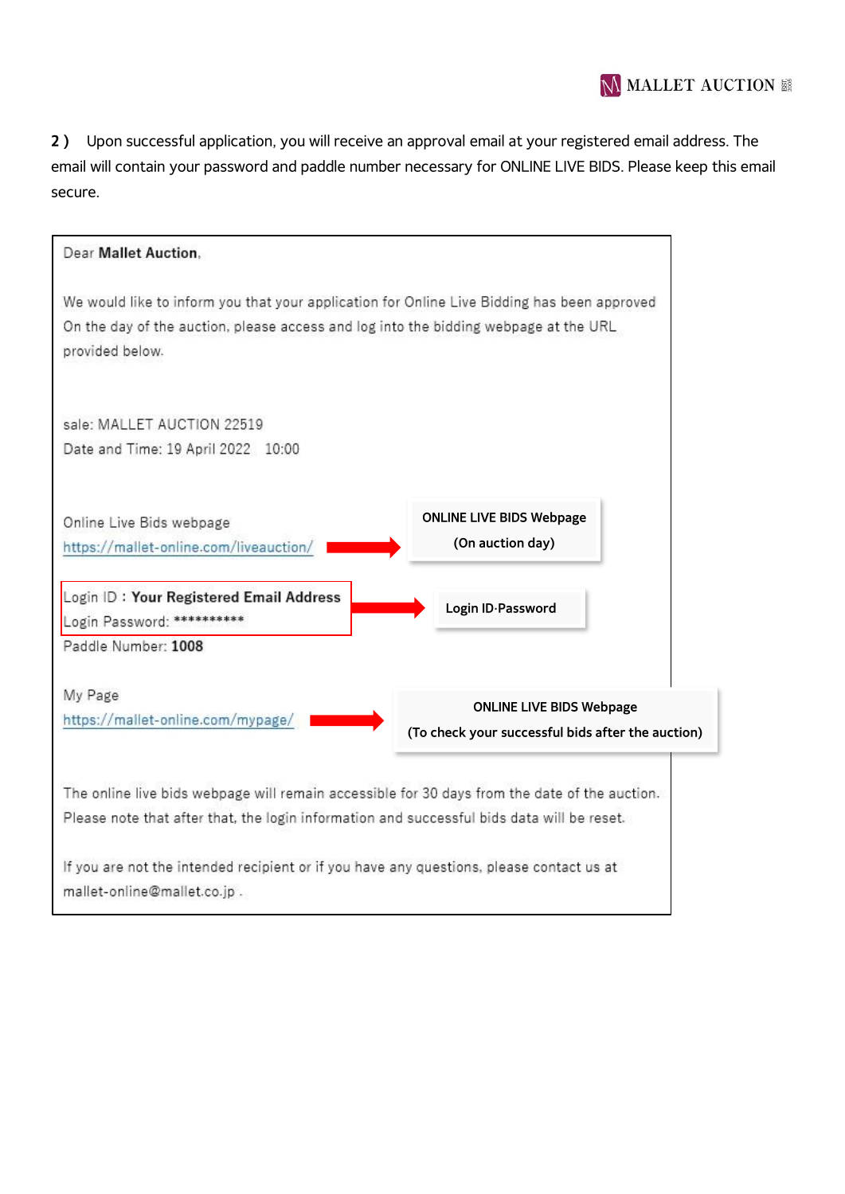**2)** Upon successful application, you will receive an approval email at your registered email address. The email will contain your password and paddle number necessary for ONLINE LIVE BIDS. Please keep this email secure.

| Dear Mallet Auction.                                                                                                                                                                                   |                                                                                      |
|--------------------------------------------------------------------------------------------------------------------------------------------------------------------------------------------------------|--------------------------------------------------------------------------------------|
| We would like to inform you that your application for Online Live Bidding has been approved<br>On the day of the auction, please access and log into the bidding webpage at the URL<br>provided below. |                                                                                      |
| sale: MALLET AUCTION 22519<br>Date and Time: 19 April 2022 10:00                                                                                                                                       |                                                                                      |
| Online Live Bids webpage<br>https://mallet-online.com/liveauction/                                                                                                                                     | <b>ONLINE LIVE BIDS Webpage</b><br>(On auction day)                                  |
| Login ID: Your Registered Email Address<br>Login Password: **********<br>Paddle Number: 1008                                                                                                           | Login ID-Password                                                                    |
| My Page<br>https://mallet-online.com/mypage/                                                                                                                                                           | <b>ONLINE LIVE BIDS Webpage</b><br>(To check your successful bids after the auction) |
| The online live bids webpage will remain accessible for 30 days from the date of the auction.<br>Please note that after that, the login information and successful bids data will be reset.            |                                                                                      |
| If you are not the intended recipient or if you have any questions, please contact us at<br>mallet-online@mallet.co.jp.                                                                                |                                                                                      |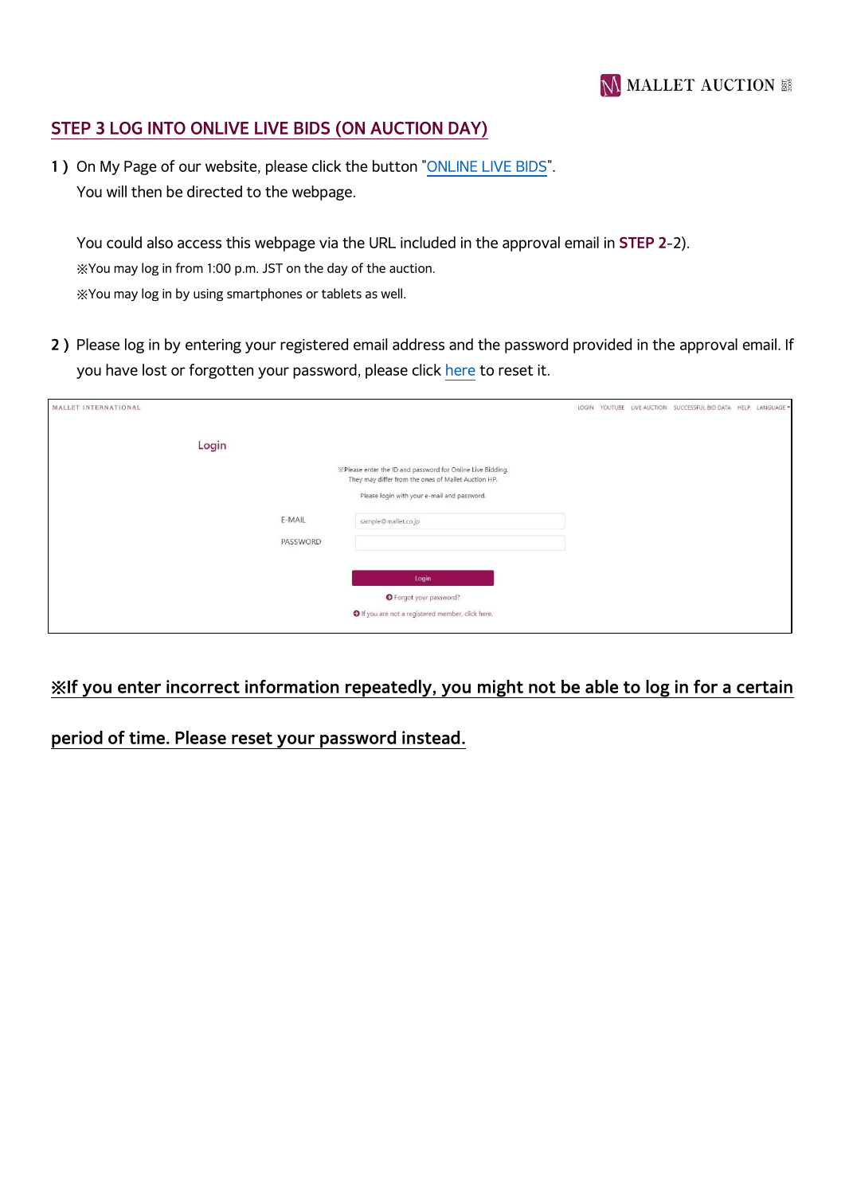## **STEP 3 LOG INTO ONLIVE LIVE BIDS (ON AUCTION DAY)**

**1)** On My Page of our website, please click the button ["ONLINE LIVE BIDS"](https://mallet-online.com/Login/?url=https://mallet-online.com/). You will then be directed to the webpage.

You could also access this webpage via the URL included in the approval email in **STEP 2**-2). ※You may log in from 1:00 p.m. JST on the day of the auction. ※You may log in by using smartphones or tablets as well.

**2)** Please log in by entering your registered email address and the password provided in the approval email. If you have lost or forgotten your password, please click [here](https://mallet-online.com/Login/reference.php) to reset it.

| MALLET INTERNATIONAL |                                                                                                                   | LOGIN |  | YOUTUBE LIVE AUCTION SUCCESSFUL BID DATA HELP LANGUAGE |  |
|----------------------|-------------------------------------------------------------------------------------------------------------------|-------|--|--------------------------------------------------------|--|
| Login                | *Please enter the ID and password for Online Live Bidding.<br>They may differ from the ones of Mallet Auction HP. |       |  |                                                        |  |
|                      | Please login with your e-mail and password.                                                                       |       |  |                                                        |  |
| E-MAIL               | sample@mallet.co.jp                                                                                               |       |  |                                                        |  |
| PASSWORD             |                                                                                                                   |       |  |                                                        |  |
|                      | Login<br><b>O</b> Forgot your password?                                                                           |       |  |                                                        |  |
|                      | O If you are not a registered member, click here.                                                                 |       |  |                                                        |  |

## **※If you enter incorrect information repeatedly, you might not be able to log in for a certain**

**period of time. Please reset your password instead.**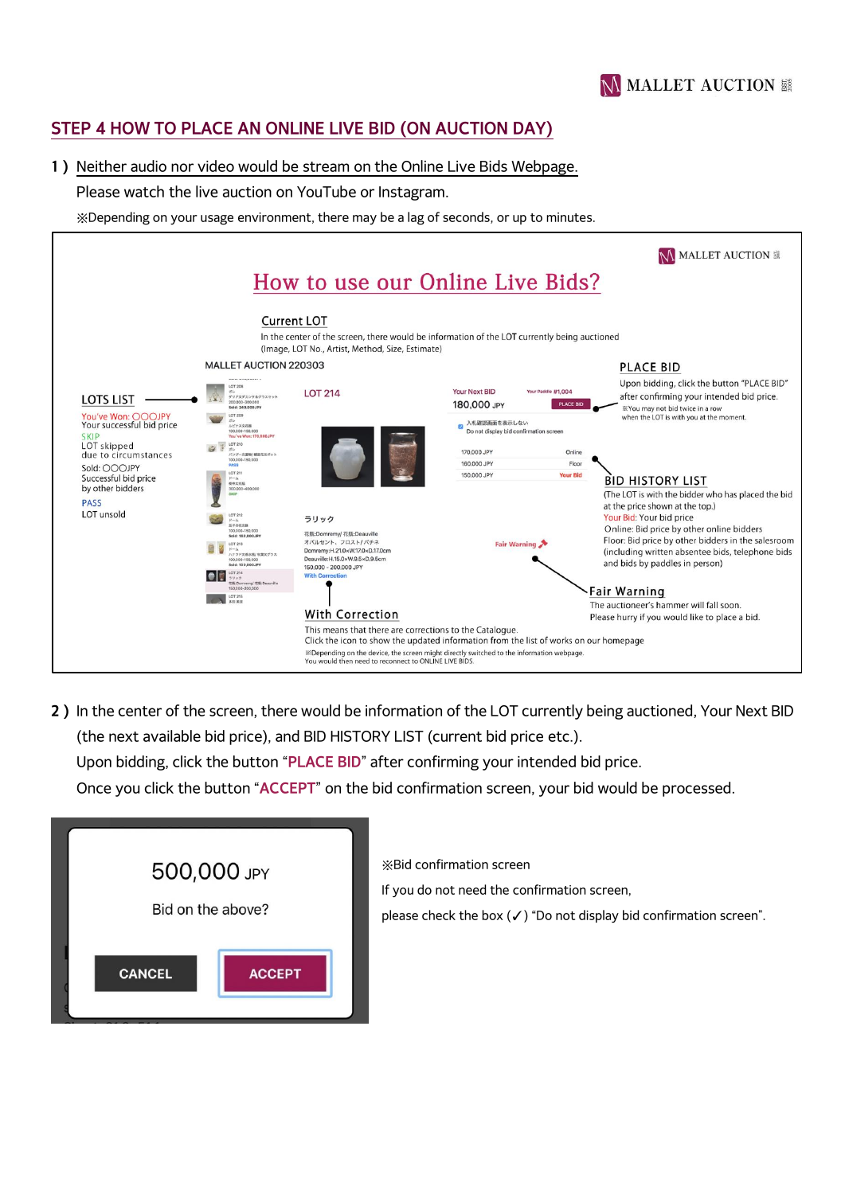

## **STEP 4 HOW TO PLACE AN ONLINE LIVE BID (ON AUCTION DAY)**

#### **1)** Neither audio nor video would be stream on the Online Live Bids Webpage.

#### Please watch the live auction on YouTube or Instagram.

※Depending on your usage environment, there may be a lag of seconds, or up to minutes.

|                                                                                                                |                                                                                                                                                                                                                                                                                                                                                           |                                                                                   | How to use our Online Live Bids?                                                                                                                 | <b>MALLET AUCTION</b> 議                                                                                                                                                                                           |
|----------------------------------------------------------------------------------------------------------------|-----------------------------------------------------------------------------------------------------------------------------------------------------------------------------------------------------------------------------------------------------------------------------------------------------------------------------------------------------------|-----------------------------------------------------------------------------------|--------------------------------------------------------------------------------------------------------------------------------------------------|-------------------------------------------------------------------------------------------------------------------------------------------------------------------------------------------------------------------|
|                                                                                                                | <b>MALLET AUCTION 220303</b>                                                                                                                                                                                                                                                                                                                              | <b>Current LOT</b><br>(Image, LOT No., Artist, Method, Size, Estimate)            | In the center of the screen, there would be information of the LOT currently being auctioned                                                     | <b>PLACE BID</b>                                                                                                                                                                                                  |
| <b>LOTS LIST</b><br>You've Won: OOOJPY<br>Your successful bid price<br><b>SKIP</b>                             | between the between the and the<br><b>LOT 208</b><br>扰<br>ダリアスデカンタ&グラスセット<br>200,000-300,000<br>Sold: 240,000JPY<br>LOT 209<br>ガレ<br>ルピナス文表表<br>100,000-150,000<br>You've Won: 170,000JPY                                                                                                                                                                 | <b>LOT 214</b>                                                                    | Your Next BID<br>Your Paddle #1,004<br>180,000 JPY<br><b>PLACE BID</b><br>入札確認画面を表示しない<br>$\mathbb{Z}$<br>Do not display bid confirmation screen | Upon bidding, click the button "PLACE BID"<br>after confirming your intended bid price.<br>*You may not bid twice in a row<br>when the LOT is with you at the moment.                                             |
| LOT skipped<br>due to circumstances<br>Sold: OOOJPY<br>Successful bid price<br>by other bidders<br><b>PASS</b> | LOT 210<br>ガレ<br>パンジー文盖物/螺旋花文ポット<br>100.000-150.000<br>PASS<br>LOT 211<br>$K-\Delta$<br>取林文花瓶<br>300,000-400,000<br><b>SKIP</b>                                                                                                                                                                                                                           |                                                                                   | Online<br>170,000 JPY<br>160,000 JPY<br>Floor<br>150,000 JPY<br><b>Your Bid</b>                                                                  | <b>BID HISTORY LIST</b><br>(The LOT is with the bidder who has placed the bid<br>at the price shown at the top.)                                                                                                  |
| LOT unsold                                                                                                     | LOT 212<br>ラリック<br>$K - \Delta$<br>関係の花文師<br>100.000-150.000<br>花瓶:Domremy/ 花瓶:Deauville<br>Sold: 160,000JPY<br>オパルセント、フロスト/パチネ<br>LOT 213<br>$K - L$<br>Domremy:H.21.0×W.17.0×D.17.0cm<br>ハナウド文香水服/税業文グラス<br>Deauville:H.15.0×W.9.5×D.9.5cm<br>100.000-150.000<br>Sold: 100,000JPY<br>150,000 - 200,000 JPY<br>LOT 214<br><b>With Correction</b><br>ラリック |                                                                                   | Fair Warning                                                                                                                                     | Your Bid: Your bid price<br>Online: Bid price by other online bidders<br>Floor: Bid price by other bidders in the salesroom<br>(including written absentee bids, telephone bids<br>and bids by paddles in person) |
|                                                                                                                | 图板:Domremy/ 花板:Deauville<br>150,000-200,000<br>LOT 215<br>多用 单选                                                                                                                                                                                                                                                                                           | <b>With Correction</b><br>This means that there are corrections to the Catalogue. | Click the icon to show the updated information from the list of works on our homepage                                                            | Fair Warning<br>The auctioneer's hammer will fall soon.<br>Please hurry if you would like to place a bid.                                                                                                         |
|                                                                                                                |                                                                                                                                                                                                                                                                                                                                                           | You would then need to reconnect to ONLINE LIVE BIDS.                             | *Depending on the device, the screen might directly switched to the information webpage.                                                         |                                                                                                                                                                                                                   |

**2)** In the center of the screen, there would be information of the LOT currently being auctioned, Your Next BID (the next available bid price), and BID HISTORY LIST (current bid price etc.). Upon bidding, click the button "**PLACE BID**" after confirming your intended bid price. Once you click the button "**ACCEPT**" on the bid confirmation screen, your bid would be processed.

| 500,000 JPY       |               |
|-------------------|---------------|
| Bid on the above? |               |
| <b>CANCEL</b>     | <b>ACCEPT</b> |

※Bid confirmation screen

If you do not need the confirmation screen,

please check the box  $(V)$  "Do not display bid confirmation screen".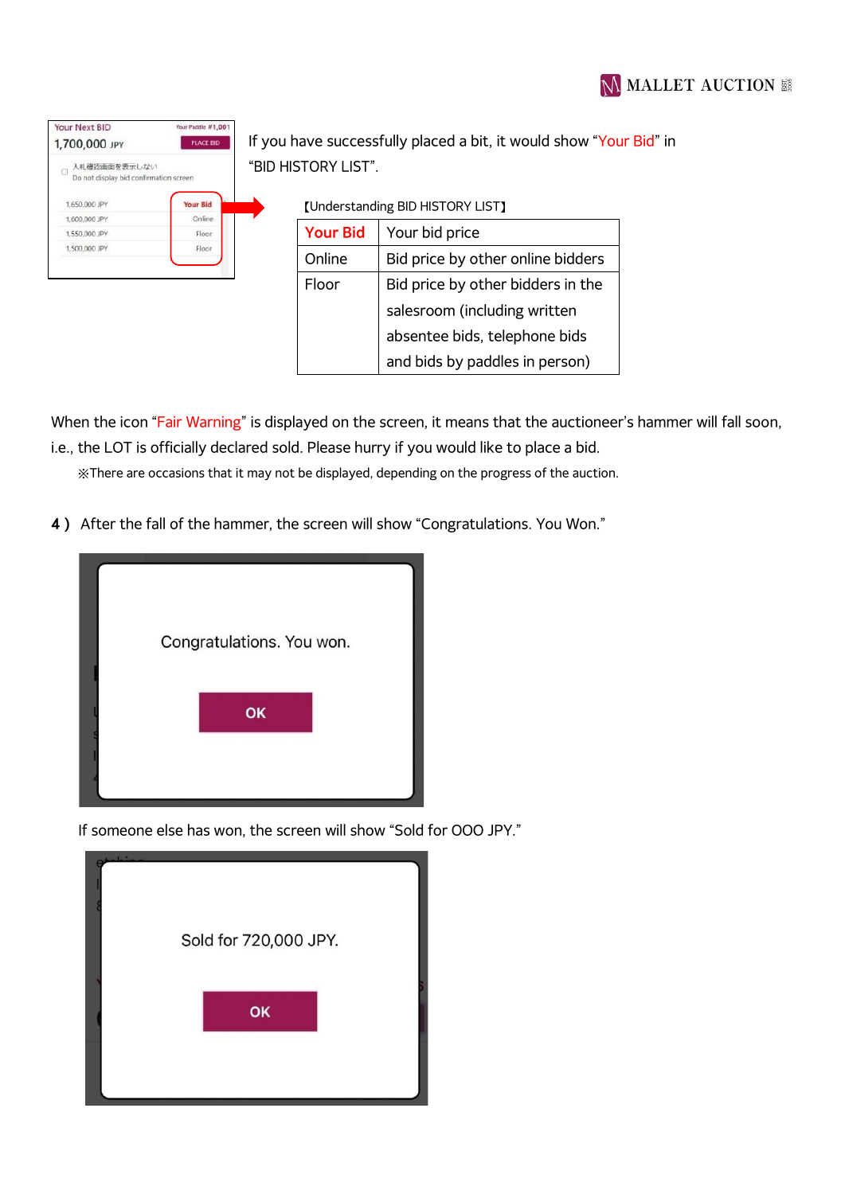| Your Next BID                                                    | Your Paddle #1,001 |  |
|------------------------------------------------------------------|--------------------|--|
| 1,700,000 JPY                                                    | <b>PLACE BID</b>   |  |
| 入札確認画面を表示しない<br>$\Box$<br>Do not display bid confirmation screen |                    |  |
|                                                                  |                    |  |
| 1.650.000 JPY                                                    | <b>Your Bid</b>    |  |
| 1.600,000 JPY                                                    | Online             |  |
| 1,550,000 JPY                                                    | Floor              |  |

you have successfully placed a bit, it would show "Your Bid" in **BID HISTORY LIST".** 

【Understanding BID HISTORY LIST】

| <b>Your Bid</b> | Your bid price                    |  |  |
|-----------------|-----------------------------------|--|--|
| Online          | Bid price by other online bidders |  |  |
| Floor           | Bid price by other bidders in the |  |  |
|                 | salesroom (including written      |  |  |
|                 | absentee bids, telephone bids     |  |  |
|                 | and bids by paddles in person)    |  |  |
|                 |                                   |  |  |

When the icon "Fair Warning" is displayed on the screen, it means that the auctioneer's hammer will fall soon, i.e., the LOT is officially declared sold. Please hurry if you would like to place a bid.

※There are occasions that it may not be displayed, depending on the progress of the auction.

**4)** After the fall of the hammer, the screen will show "Congratulations. You Won."



If someone else has won, the screen will show "Sold for OOO JPY."

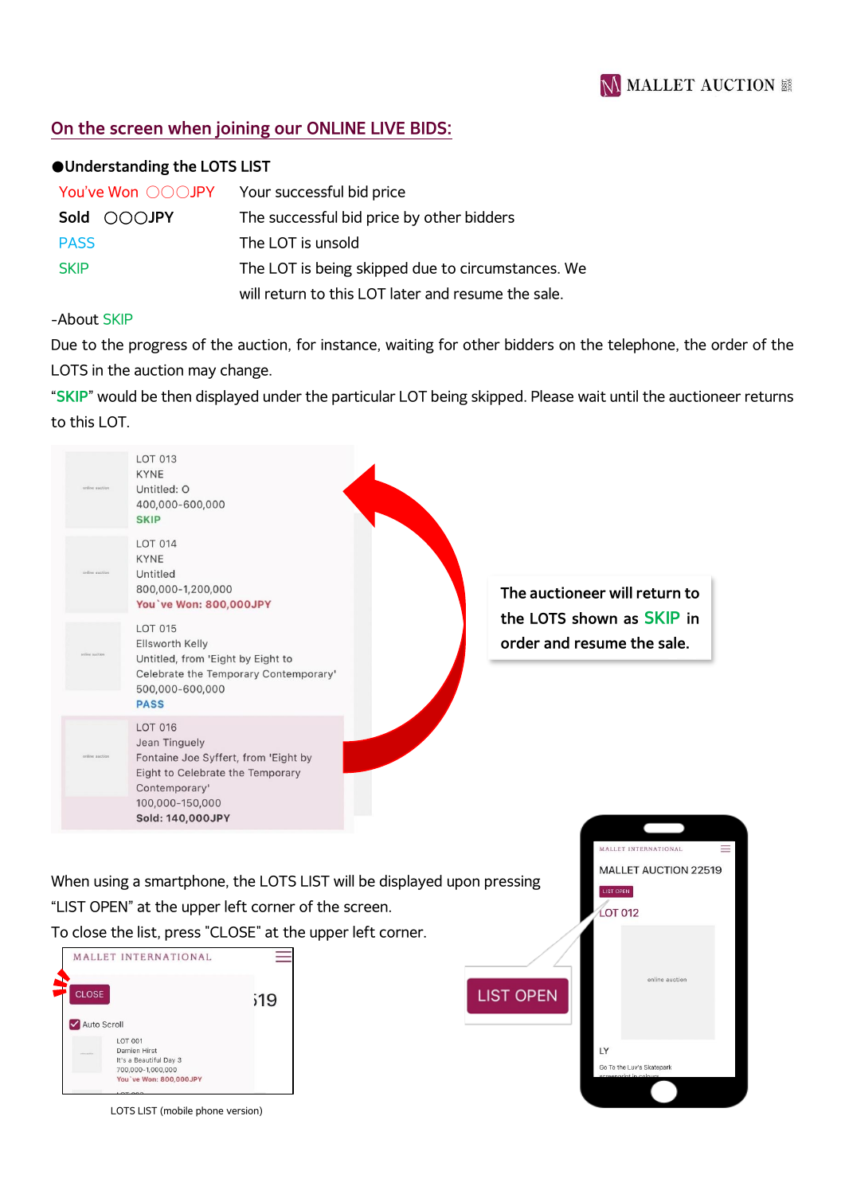## **On the screen when joining our ONLINE LIVE BIDS:**

#### **●Understanding the LOTS LIST**

| You've Won ○○○JPY | Your successful bid price                          |
|-------------------|----------------------------------------------------|
| Sold OOOJPY       | The successful bid price by other bidders          |
| <b>PASS</b>       | The LOT is unsold                                  |
| <b>SKIP</b>       | The LOT is being skipped due to circumstances. We  |
|                   | will return to this LOT later and resume the sale. |

#### -About SKIP

Due to the progress of the auction, for instance, waiting for other bidders on the telephone, the order of the LOTS in the auction may change.

"**SKIP**" would be then displayed under the particular LOT being skipped. Please wait until the auctioneer returns to this LOT.